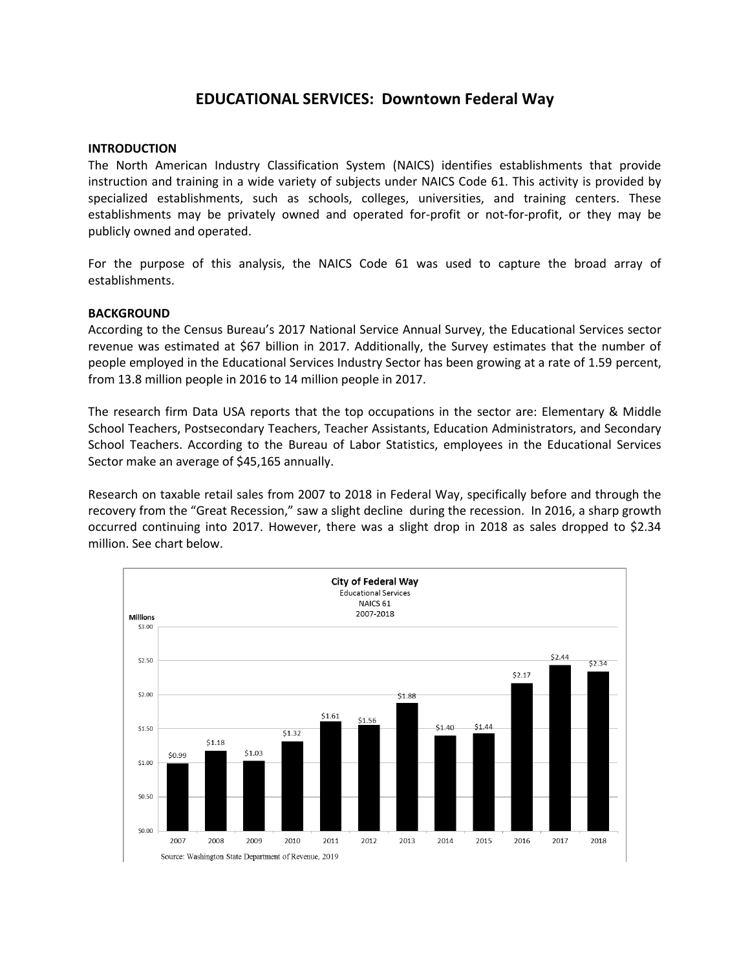# **EDUCATIONAL SERVICES: Downtown Federal Way**

## **INTRODUCTION**

The North American Industry Classification System (NAICS) identifies establishments that provide instruction and training in a wide variety of subjects under NAICS Code 61. This activity is provided by specialized establishments, such as schools, colleges, universities, and training centers. These establishments may be privately owned and operated for-profit or not-for-profit, or they may be publicly owned and operated.

For the purpose of this analysis, the NAICS Code 61 was used to capture the broad array of establishments.

### **BACKGROUND**

According to the Census Bureau's 2017 National Service Annual Survey, the Educational Services sector revenue was estimated at \$67 billion in 2017. Additionally, the Survey estimates that the number of people employed in the Educational Services Industry Sector has been growing at a rate of 1.59 percent, from 13.8 million people in 2016 to 14 million people in 2017.

The research firm Data USA reports that the top occupations in the sector are: Elementary & Middle School Teachers, Postsecondary Teachers, Teacher Assistants, Education Administrators, and Secondary School Teachers. According to the Bureau of Labor Statistics, employees in the Educational Services Sector make an average of \$45,165 annually.

Research on taxable retail sales from 2007 to 2018 in Federal Way, specifically before and through the recovery from the "Great Recession," saw a slight decline during the recession. In 2016, a sharp growth occurred continuing into 2017. However, there was a slight drop in 2018 as sales dropped to \$2.34 million. See chart below.

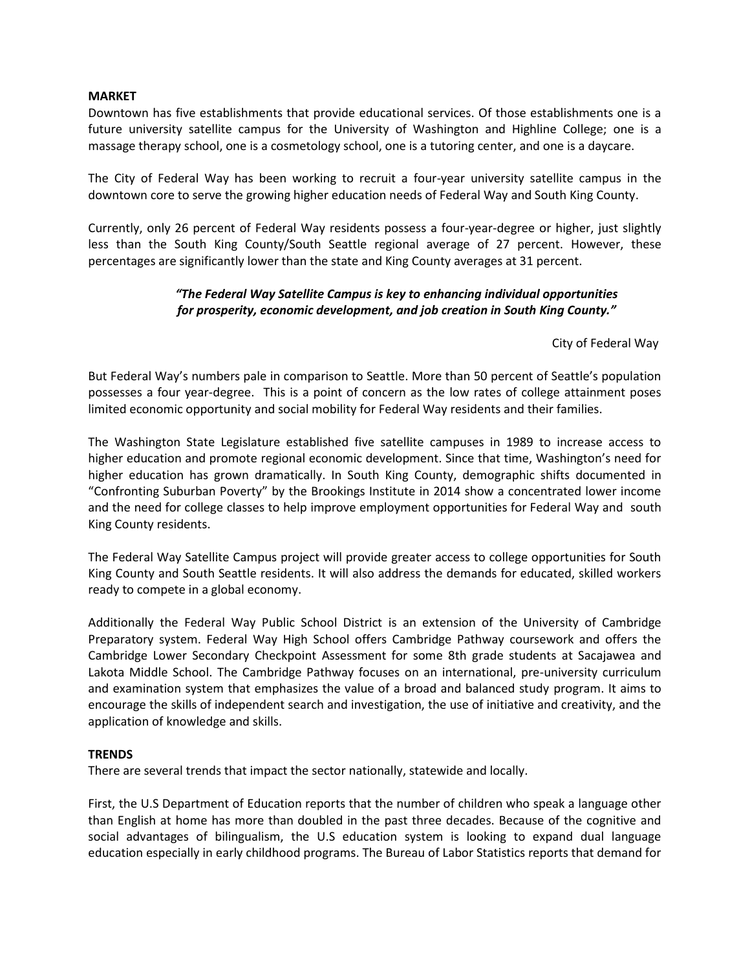## **MARKET**

Downtown has five establishments that provide educational services. Of those establishments one is a future university satellite campus for the University of Washington and Highline College; one is a massage therapy school, one is a cosmetology school, one is a tutoring center, and one is a daycare.

The City of Federal Way has been working to recruit a four-year university satellite campus in the downtown core to serve the growing higher education needs of Federal Way and South King County.

Currently, only 26 percent of Federal Way residents possess a four-year-degree or higher, just slightly less than the South King County/South Seattle regional average of 27 percent. However, these percentages are significantly lower than the state and King County averages at 31 percent.

## *"The Federal Way Satellite Campus is key to enhancing individual opportunities for prosperity, economic development, and job creation in South King County."*

City of Federal Way

But Federal Way's numbers pale in comparison to Seattle. More than 50 percent of Seattle's population possesses a four year-degree. This is a point of concern as the low rates of college attainment poses limited economic opportunity and social mobility for Federal Way residents and their families.

The Washington State Legislature established five satellite campuses in 1989 to increase access to higher education and promote regional economic development. Since that time, Washington's need for higher education has grown dramatically. In South King County, demographic shifts documented in "Confronting Suburban Poverty" by the Brookings Institute in 2014 show a concentrated lower income and the need for college classes to help improve employment opportunities for Federal Way and south King County residents.

The Federal Way Satellite Campus project will provide greater access to college opportunities for South King County and South Seattle residents. It will also address the demands for educated, skilled workers ready to compete in a global economy.

Additionally the Federal Way Public School District is an extension of the University of Cambridge Preparatory system. Federal Way High School offers Cambridge Pathway coursework and offers the Cambridge Lower Secondary Checkpoint Assessment for some 8th grade students at Sacajawea and Lakota Middle School. The Cambridge Pathway focuses on an international, pre-university curriculum and examination system that emphasizes the value of a broad and balanced study program. It aims to encourage the skills of independent search and investigation, the use of initiative and creativity, and the application of knowledge and skills.

## **TRENDS**

There are several trends that impact the sector nationally, statewide and locally.

First, the U.S Department of Education reports that the number of children who speak a language other than English at home has more than doubled in the past three decades. Because of the cognitive and social advantages of bilingualism, the U.S education system is looking to expand dual language education especially in early childhood programs. The Bureau of Labor Statistics reports that demand for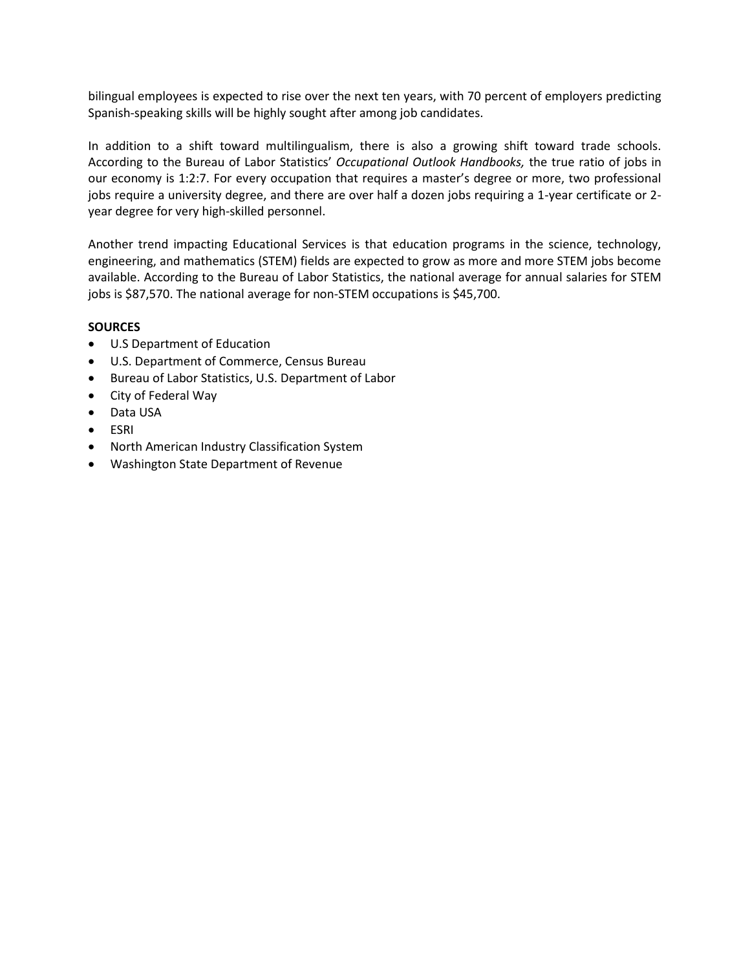bilingual employees is expected to rise over the next ten years, with 70 percent of employers predicting Spanish-speaking skills will be highly sought after among job candidates.

In addition to a shift toward multilingualism, there is also a growing shift toward trade schools. According to the Bureau of Labor Statistics' *Occupational Outlook Handbooks,* the true ratio of jobs in our economy is 1:2:7. For every occupation that requires a master's degree or more, two professional jobs require a university degree, and there are over half a dozen jobs requiring a 1-year certificate or 2 year degree for very high-skilled personnel.

Another trend impacting Educational Services is that education programs in the science, technology, engineering, and mathematics (STEM) fields are expected to grow as more and more STEM jobs become available. According to the Bureau of Labor Statistics, the national average for annual salaries for STEM jobs is \$87,570. The national average for non-STEM occupations is \$45,700.

## **SOURCES**

- U.S Department of Education
- U.S. Department of Commerce, Census Bureau
- Bureau of Labor Statistics, U.S. Department of Labor
- City of Federal Way
- Data USA
- ESRI
- North American Industry Classification System
- Washington State Department of Revenue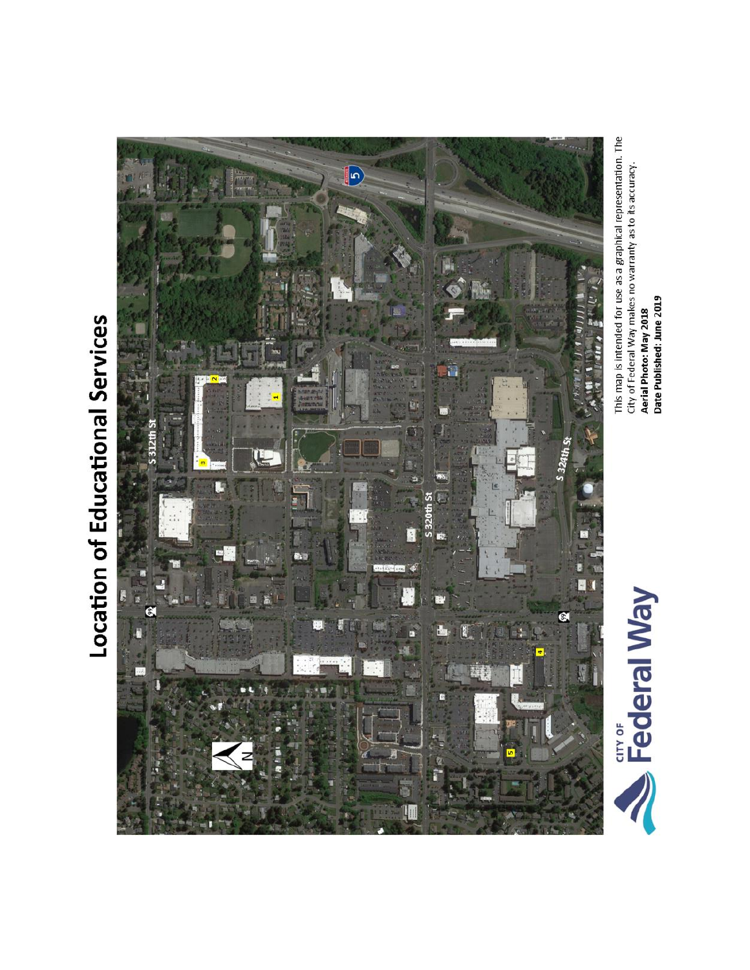# Location of Educational Services



This map is intended for use as a graphical representation. The<br>City of Federal Way makes no warranty as to its accuracy. Aerial Photo: May 2018<br>Date Published: June 2019